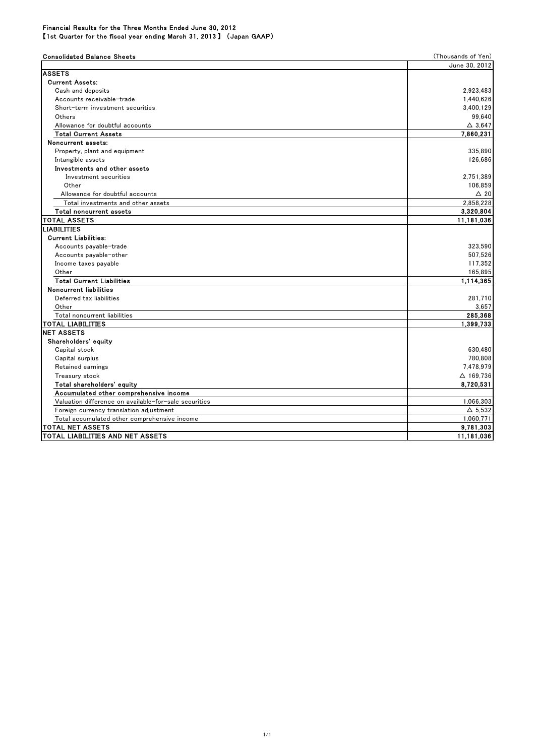## Consolidated Balance Sheets (Thousands of Yen) June 30, 2012 ASSETS Current Assets: Cash and deposits 2,923,483 Accounts receivable-trade 1,440,626 Short-term investment securities 3,400,129 Others 99,640 Allowance for doubtful accounts △ 3,647 **Total Current Assets**  Noncurrent assets: Property, plant and equipment 335,890 Intangible assets 126,686 Investments and other assets Investment securities 2,751,389 Other 106,859 Allowance for doubtful accounts  $\triangle$  20 Total investments and other assets 2,858,228 Total noncurrent assets 3,320,804 TOTAL ASSETS **11,181,036** LIABILITIES Current Liabilities: Accounts payable-trade 323,590 Accounts payable-other 507.526 Income taxes payable 117,352 Other 165,895 Total Current Liabilities 1,114,365 Noncurrent liabilities Deferred tax liabilities 281,710 Other 3,657 Total noncurrent liabilities 285,368 TOTAL LIABILITIES 1,399,733 NET ASSETS Shareholders' equity Capital stock 630,480 Capital surplus 780,808 Retained earnings 7,478,979 Treasury stock  $\triangle$  169,736 Total shareholders' equity 8,720,531 Accumulated other comprehensive income Valuation difference on available-for-sale securities 1,066,303 Foreign currency translation adjustment  $\Delta$  5,532 Total accumulated other comprehensive income 1,060,771

TOTAL NET ASSETS TOTAL LIABILITIES AND NET ASSETS 11,181,036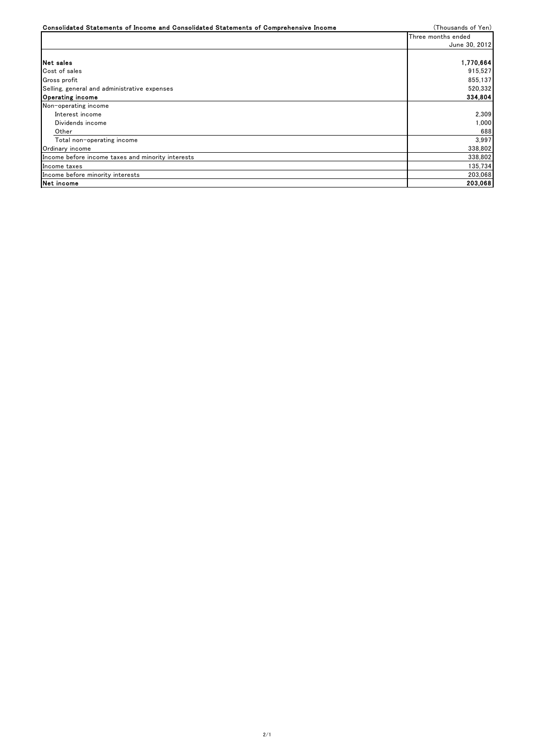| Consolidated Statements of Income and Consolidated Statements of Comprehensive Income | (Thousands of Yen) |
|---------------------------------------------------------------------------------------|--------------------|
|                                                                                       | Three months ended |
|                                                                                       | June 30, 2012      |
|                                                                                       |                    |
| <b>INet sales</b>                                                                     | 1,770,664          |
| Cost of sales                                                                         | 915,527            |
| Gross profit                                                                          | 855,137            |
| Selling, general and administrative expenses                                          | 520,332            |
| Operating income                                                                      | 334,804            |
| Non-operating income                                                                  |                    |
| Interest income                                                                       | 2.309              |
| Dividends income                                                                      | 1.000              |
| Other                                                                                 | 688                |
| Total non-operating income                                                            | 3.997              |
| Ordinary income                                                                       | 338,802            |
| Income before income taxes and minority interests                                     | 338,802            |
| Income taxes                                                                          | 135,734            |
| Income before minority interests                                                      | 203.068            |
| Net income                                                                            | 203,068            |